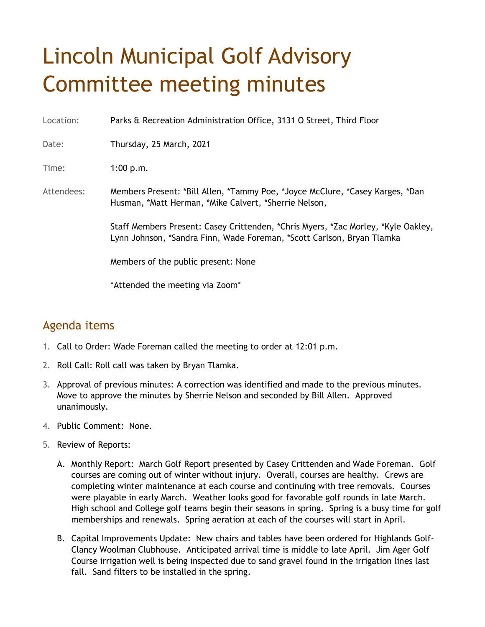## Lincoln Municipal Golf Advisory Committee meeting minutes

Location: Parks & Recreation Administration Office, 3131 O Street, Third Floor

Date: Thursday, 25 March, 2021

Time: 1:00 p.m.

Attendees: Members Present: \*Bill Allen, \*Tammy Poe, \*Joyce McClure, \*Casey Karges, \*Dan Husman, \*Matt Herman, \*Mike Calvert, \*Sherrie Nelson,

> Staff Members Present: Casey Crittenden, \*Chris Myers, \*Zac Morley, \*Kyle Oakley, Lynn Johnson, \*Sandra Finn, Wade Foreman, \*Scott Carlson, Bryan Tlamka

Members of the public present: None

\*Attended the meeting via Zoom\*

## Agenda items

- 1. Call to Order: Wade Foreman called the meeting to order at 12:01 p.m.
- 2. Roll Call: Roll call was taken by Bryan Tlamka.
- 3. Approval of previous minutes: A correction was identified and made to the previous minutes. Move to approve the minutes by Sherrie Nelson and seconded by Bill Allen. Approved unanimously.
- 4. Public Comment: None.
- 5. Review of Reports:
	- A. Monthly Report: March Golf Report presented by Casey Crittenden and Wade Foreman. Golf courses are coming out of winter without injury. Overall, courses are healthy. Crews are completing winter maintenance at each course and continuing with tree removals. Courses were playable in early March. Weather looks good for favorable golf rounds in late March. High school and College golf teams begin their seasons in spring. Spring is a busy time for golf memberships and renewals. Spring aeration at each of the courses will start in April.
	- B. Capital Improvements Update: New chairs and tables have been ordered for Highlands Golf-Clancy Woolman Clubhouse. Anticipated arrival time is middle to late April. Jim Ager Golf Course irrigation well is being inspected due to sand gravel found in the irrigation lines last fall. Sand filters to be installed in the spring.